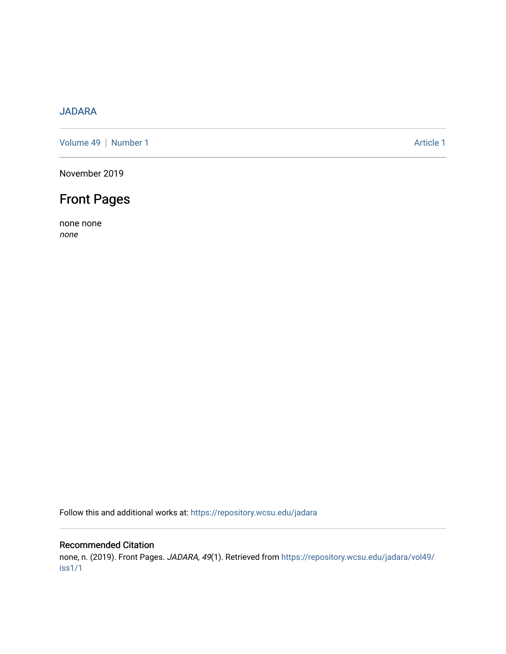## [JADARA](https://repository.wcsu.edu/jadara)

[Volume 49](https://repository.wcsu.edu/jadara/vol49) | [Number 1](https://repository.wcsu.edu/jadara/vol49/iss1) Article 1

November 2019

## Front Pages

none none none

Follow this and additional works at: [https://repository.wcsu.edu/jadara](https://repository.wcsu.edu/jadara?utm_source=repository.wcsu.edu%2Fjadara%2Fvol49%2Fiss1%2F1&utm_medium=PDF&utm_campaign=PDFCoverPages)

## Recommended Citation

none, n. (2019). Front Pages. JADARA, 49(1). Retrieved from [https://repository.wcsu.edu/jadara/vol49/](https://repository.wcsu.edu/jadara/vol49/iss1/1?utm_source=repository.wcsu.edu%2Fjadara%2Fvol49%2Fiss1%2F1&utm_medium=PDF&utm_campaign=PDFCoverPages) [iss1/1](https://repository.wcsu.edu/jadara/vol49/iss1/1?utm_source=repository.wcsu.edu%2Fjadara%2Fvol49%2Fiss1%2F1&utm_medium=PDF&utm_campaign=PDFCoverPages)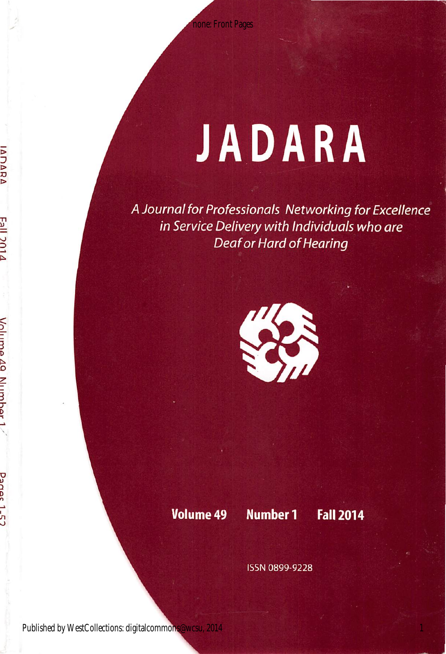# JADARA

A Journal for Professionals Networking for Excellence in Service Delivery with Individuals who are Deaf or Hard of Hearing



Volume 49 Number 1 Fall 2014

ISSN 0899-9228

**IADARA** 

Volume 49 Numher

Panec 1-57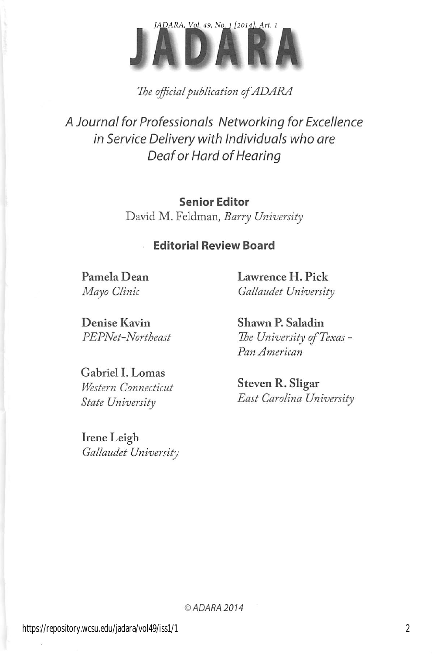

The official publication of ADARA

A Journal for Professionals Networking for Excellence in Service Delivery with Individuals who are Deaf or Hard of Hearing

> Senior Editor David M. Feldman, Barry University

## Editorial Review Board

Pamela Dean Mayo Clinic

Lawrence H. Pick Gallaudet University

Denise Kavin PEPNet-Northeast

Gabriel I. Lomas Western Connecticut State University

Irene Leigh Gallaudet University Shawn P. Saladin The University of Texas -Pan American

Steven R. Sligar East Carolina University